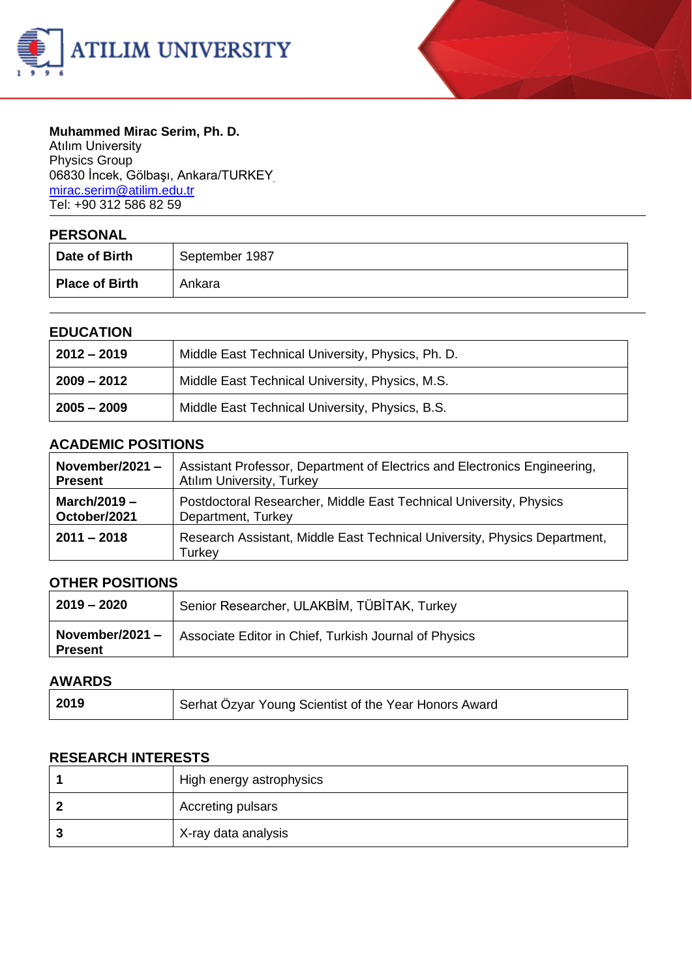



#### **Muhammed Mirac Serim, Ph. D.** Atılım University

Physics Group 06830 İncek, Gölbaşı, Ankara/TURKE[Y](mailto:%20mirac.serim@atilim.edu.tr) [mirac.serim@atilim.edu.tr](mailto:%20mirac.serim@atilim.edu.tr) Tel: +90 312 586 82 59

| <b>PERSONAL</b>       |                |
|-----------------------|----------------|
| Date of Birth         | September 1987 |
| <b>Place of Birth</b> | Ankara         |

#### **EDUCATION**

| $2012 - 2019$ | Middle East Technical University, Physics, Ph. D. |
|---------------|---------------------------------------------------|
| 2009 – 2012   | Middle East Technical University, Physics, M.S.   |
| $2005 - 2009$ | Middle East Technical University, Physics, B.S.   |

### **ACADEMIC POSITIONS**

| November/2021 $-$ | Assistant Professor, Department of Electrics and Electronics Engineering,           |
|-------------------|-------------------------------------------------------------------------------------|
| <b>Present</b>    | <b>Atılım University, Turkey</b>                                                    |
| March/2019 $-$    | Postdoctoral Researcher, Middle East Technical University, Physics                  |
| October/2021      | Department, Turkey                                                                  |
| $2011 - 2018$     | Research Assistant, Middle East Technical University, Physics Department,<br>Turkey |

# **OTHER POSITIONS**

| $12019 - 2020$                           | Senior Researcher, ULAKBİM, TÜBİTAK, Turkey           |
|------------------------------------------|-------------------------------------------------------|
| $\sqrt{2021}$ November/2021 –<br>Present | Associate Editor in Chief, Turkish Journal of Physics |

#### **AWARDS**

| 2019 | Serhat Özyar Young Scientist of the Year Honors Award |
|------|-------------------------------------------------------|
|------|-------------------------------------------------------|

#### **RESEARCH INTERESTS**

|   | High energy astrophysics |
|---|--------------------------|
|   | Accreting pulsars        |
| w | X-ray data analysis      |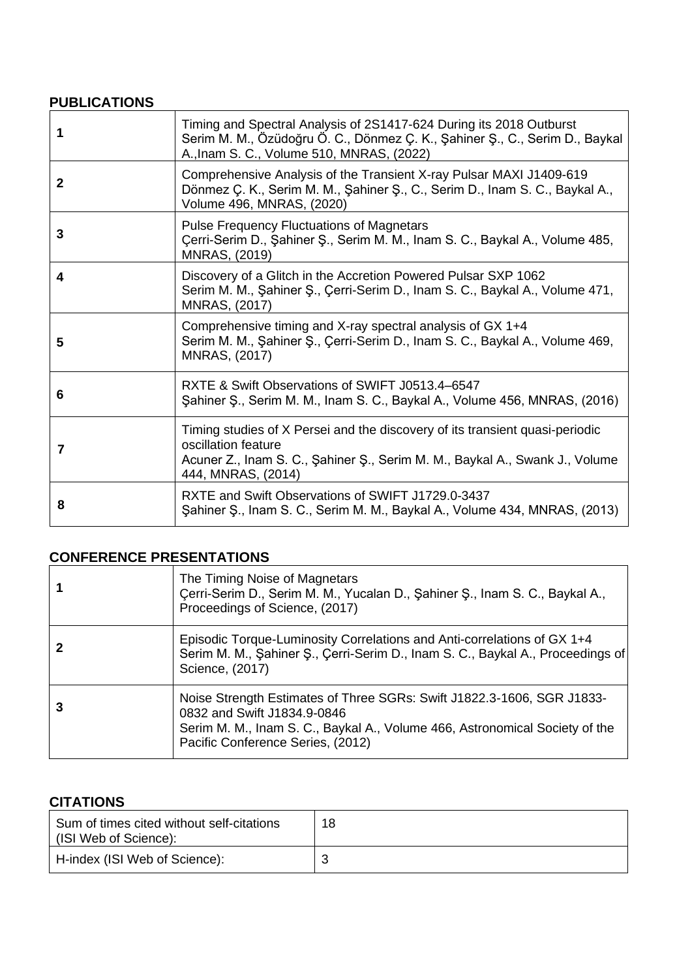#### **PUBLICATIONS**

| 1            | Timing and Spectral Analysis of 2S1417-624 During its 2018 Outburst<br>Serim M. M., Özüdoğru Ö. C., Dönmez Ç. K., Şahiner Ş., C., Serim D., Baykal<br>A., Inam S. C., Volume 510, MNRAS, (2022)          |
|--------------|----------------------------------------------------------------------------------------------------------------------------------------------------------------------------------------------------------|
| $\mathbf{2}$ | Comprehensive Analysis of the Transient X-ray Pulsar MAXI J1409-619<br>Dönmez Ç. K., Serim M. M., Şahiner Ş., C., Serim D., Inam S. C., Baykal A.,<br>Volume 496, MNRAS, (2020)                          |
| 3            | <b>Pulse Frequency Fluctuations of Magnetars</b><br>Çerri-Serim D., Şahiner Ş., Serim M. M., Inam S. C., Baykal A., Volume 485,<br><b>MNRAS, (2019)</b>                                                  |
| 4            | Discovery of a Glitch in the Accretion Powered Pulsar SXP 1062<br>Serim M. M., Şahiner Ş., Çerri-Serim D., Inam S. C., Baykal A., Volume 471,<br><b>MNRAS, (2017)</b>                                    |
| 5            | Comprehensive timing and X-ray spectral analysis of GX 1+4<br>Serim M. M., Şahiner Ş., Çerri-Serim D., Inam S. C., Baykal A., Volume 469,<br><b>MNRAS, (2017)</b>                                        |
| 6            | RXTE & Swift Observations of SWIFT J0513.4–6547<br>Sahiner S., Serim M. M., Inam S. C., Baykal A., Volume 456, MNRAS, (2016)                                                                             |
| 7            | Timing studies of X Persei and the discovery of its transient quasi-periodic<br>oscillation feature<br>Acuner Z., Inam S. C., Şahiner Ş., Serim M. M., Baykal A., Swank J., Volume<br>444, MNRAS, (2014) |
| 8            | RXTE and Swift Observations of SWIFT J1729.0-3437<br>Sahiner S., Inam S. C., Serim M. M., Baykal A., Volume 434, MNRAS, (2013)                                                                           |

#### **CONFERENCE PRESENTATIONS**

| The Timing Noise of Magnetars<br>Cerri-Serim D., Serim M. M., Yucalan D., Şahiner Ş., Inam S. C., Baykal A.,<br>Proceedings of Science, (2017)                                                                            |
|---------------------------------------------------------------------------------------------------------------------------------------------------------------------------------------------------------------------------|
| Episodic Torque-Luminosity Correlations and Anti-correlations of GX 1+4<br>Serim M. M., Şahiner Ş., Çerri-Serim D., Inam S. C., Baykal A., Proceedings of<br>Science, (2017)                                              |
| Noise Strength Estimates of Three SGRs: Swift J1822.3-1606, SGR J1833-<br>0832 and Swift J1834.9-0846<br>Serim M. M., Inam S. C., Baykal A., Volume 466, Astronomical Society of the<br>Pacific Conference Series, (2012) |

# **CITATIONS**

| Sum of times cited without self-citations<br>(ISI Web of Science): | 18 |
|--------------------------------------------------------------------|----|
| H-index (ISI Web of Science):                                      |    |